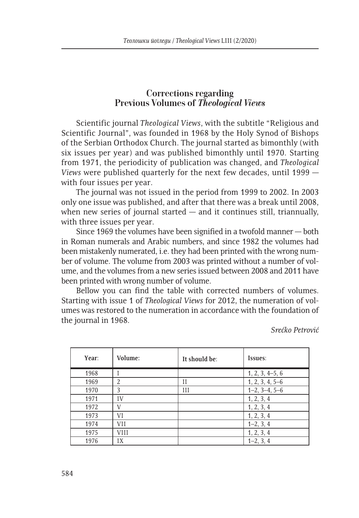## **Corrections regarding Previous Volumes of** *Theological Views*

Scientific journal *Theological Views*, with the subtitle "Religious and Scientific Journal", was founded in 1968 by the Holy Synod of Bishops of the Serbian Orthodox Church. The journal started as bimonthly (with six issues per year) and was published bimonthly until 1970. Starting from 1971, the periodicity of publication was changed, and *Theological Views* were published quarterly for the next few decades, until 1999 with four issues per year.

The journal was not issued in the period from 1999 to 2002. In 2003 only one issue was published, and after that there was a break until 2008, when new series of journal started  $-$  and it continues still, triannually, with three issues per year.

Since 1969 the volumes have been signified in a twofold manner — both in Roman numerals and Arabic numbers, and since 1982 the volumes had been mistakenly numerated, i.e. they had been printed with the wrong number of volume. The volume from 2003 was printed without a number of volume, and the volumes from a new series issued between 2008 and 2011 have been printed with wrong number of volume.

Bellow you can find the table with corrected numbers of volumes. Starting with issue 1 of *Theological Views* for 2012, the numeration of volumes was restored to the numeration in accordance with the foundation of the journal in 1968.

*Srećko Petrović*

| Year: | Volume:     | It should be: | Issues:           |
|-------|-------------|---------------|-------------------|
| 1968  |             |               | $1, 2, 3, 4-5, 6$ |
| 1969  | 2           | П             | $1, 2, 3, 4, 5-6$ |
| 1970  | 3           | Ш             | $1-2, 3-4, 5-6$   |
| 1971  | IV          |               | 1, 2, 3, 4        |
| 1972  | V           |               | 1, 2, 3, 4        |
| 1973  | VI          |               | 1, 2, 3, 4        |
| 1974  | VII         |               | $1-2, 3, 4$       |
| 1975  | <b>VIII</b> |               | 1, 2, 3, 4        |
| 1976  | IX          |               | $1-2, 3, 4$       |